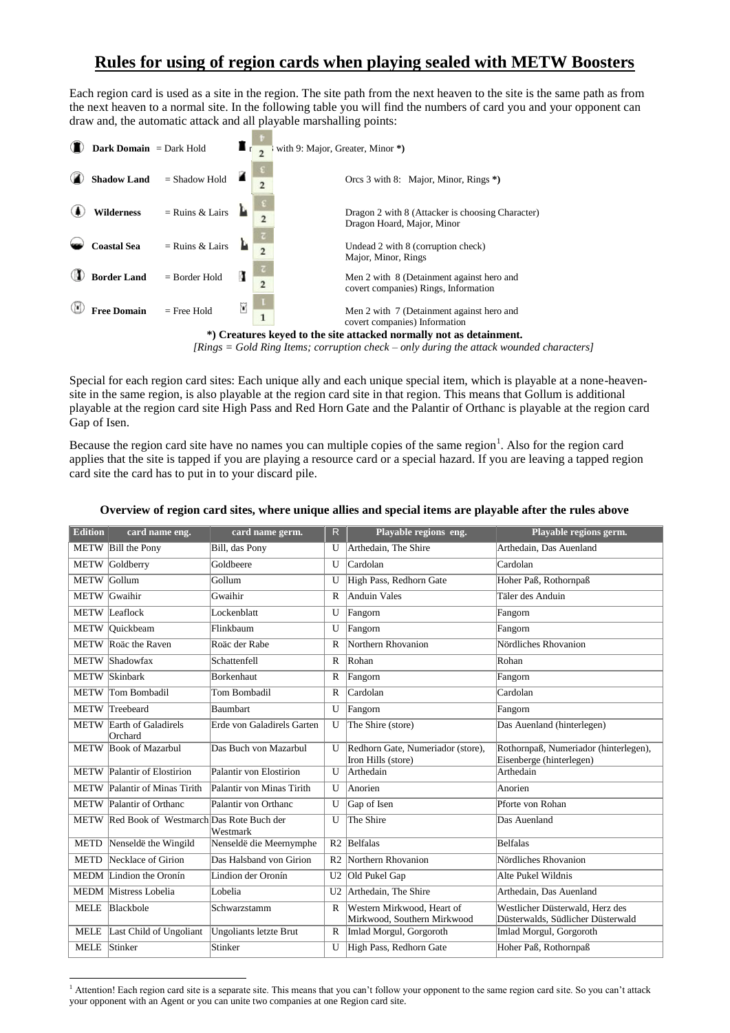## **Rules for using of region cards when playing sealed with METW Boosters**

Each region card is used as a site in the region. The site path from the next heaven to the site is the same path as from the next heaven to a normal site. In the following table you will find the numbers of card you and your opponent can draw and, the automatic attack and all playable marshalling points:



*[Rings = Gold Ring Items; corruption check – only during the attack wounded characters]*

Special for each region card sites: Each unique ally and each unique special item, which is playable at a none-heavensite in the same region, is also playable at the region card site in that region. This means that Gollum is additional playable at the region card site High Pass and Red Horn Gate and the Palantir of Orthanc is playable at the region card Gap of Isen.

Because the region card site have no names you can multiple copies of the same region<sup>1</sup>. Also for the region card applies that the site is tapped if you are playing a resource card or a special hazard. If you are leaving a tapped region card site the card has to put in to your discard pile.

| <b>Edition</b> | card name eng.                               | card name germ.            | $\mathsf{R}$   | Playable regions eng.                                     | Playable regions germ.                                               |
|----------------|----------------------------------------------|----------------------------|----------------|-----------------------------------------------------------|----------------------------------------------------------------------|
|                | METW Bill the Pony                           | Bill, das Pony             | U              | Arthedain, The Shire                                      | Arthedain, Das Auenland                                              |
| <b>METW</b>    | Goldberry                                    | Goldbeere                  | U              | Cardolan                                                  | Cardolan                                                             |
| METW Gollum    |                                              | Gollum                     | U              | High Pass, Redhorn Gate                                   | Hoher Paß, Rothornpaß                                                |
| <b>METW</b>    | Gwaihir                                      | Gwaihir                    | R              | <b>Anduin Vales</b>                                       | Täler des Anduin                                                     |
|                | <b>METW</b> Leaflock                         | Lockenblatt                | U              | Fangorn                                                   | Fangorn                                                              |
| <b>METW</b>    | Ouickbeam                                    | Flinkbaum                  | U              | Fangorn                                                   | Fangorn                                                              |
| <b>METW</b>    | Roäc the Raven                               | Roäc der Rabe              | R              | Northern Rhovanion                                        | Nördliches Rhovanion                                                 |
|                | METW Shadowfax                               | Schattenfell               | $\mathbb{R}$   | Rohan                                                     | Rohan                                                                |
| <b>METW</b>    | Skinbark                                     | <b>Borkenhaut</b>          | R              | Fangorn                                                   | Fangorn                                                              |
|                | METW Tom Bombadil                            | Tom Bombadil               | $\mathbb{R}$   | Cardolan                                                  | Cardolan                                                             |
|                | METW Treebeard                               | Baumbart                   | U              | Fangorn                                                   | Fangorn                                                              |
| <b>METW</b>    | Earth of Galadirels<br>Orchard               | Erde von Galadirels Garten | $\mathbf{U}$   | The Shire (store)                                         | Das Auenland (hinterlegen)                                           |
| <b>METW</b>    | <b>Book of Mazarbul</b>                      | Das Buch von Mazarbul      | U              | Redhorn Gate, Numeriador (store),<br>Iron Hills (store)   | Rothornpaß, Numeriador (hinterlegen),<br>Eisenberge (hinterlegen)    |
|                | METW Palantir of Elostirion                  | Palantir von Elostirion    | $\mathbf{U}$   | Arthedain                                                 | Arthedain                                                            |
|                | METW Palantir of Minas Tirith                | Palantir von Minas Tirith  | U              | Anorien                                                   | Anorien                                                              |
|                | METW Palantir of Orthanc                     | Palantir von Orthanc       | $\mathbf{U}$   | Gap of Isen                                               | Pforte von Rohan                                                     |
|                | METW Red Book of Westmarch Das Rote Buch der | Westmark                   | U              | The Shire                                                 | Das Auenland                                                         |
| <b>METD</b>    | Nenseldë the Wingild                         | Nenseldë die Meernymphe    |                | R <sub>2</sub> Belfalas                                   | Belfalas                                                             |
| <b>METD</b>    | Necklace of Girion                           | Das Halsband von Girion    | R <sub>2</sub> | Northern Rhovanion                                        | Nördliches Rhovanion                                                 |
|                | MEDM Lindion the Oronín                      | Lindion der Oronín         | U <sub>2</sub> | Old Pukel Gap                                             | Alte Pukel Wildnis                                                   |
|                | <b>MEDM</b> Mistress Lobelia                 | Lobelia                    | U <sub>2</sub> | Arthedain, The Shire                                      | Arthedain, Das Auenland                                              |
| <b>MELE</b>    | Blackbole                                    | Schwarzstamm               | $\mathsf{R}$   | Western Mirkwood, Heart of<br>Mirkwood, Southern Mirkwood | Westlicher Düsterwald, Herz des<br>Düsterwalds, Südlicher Düsterwald |
| <b>MELE</b>    | Last Child of Ungoliant                      | Ungoliants letzte Brut     | $\mathbb{R}$   | Imlad Morgul, Gorgoroth                                   | Imlad Morgul, Gorgoroth                                              |
| <b>MELE</b>    | Stinker                                      | Stinker                    | $\mathbf{U}$   | High Pass, Redhorn Gate                                   | Hoher Paß, Rothornpaß                                                |

## **Overview of region card sites, where unique allies and special items are playable after the rules above**

1

<sup>&</sup>lt;sup>1</sup> Attention! Each region card site is a separate site. This means that you can't follow your opponent to the same region card site. So you can't attack your opponent with an Agent or you can unite two companies at one Region card site.